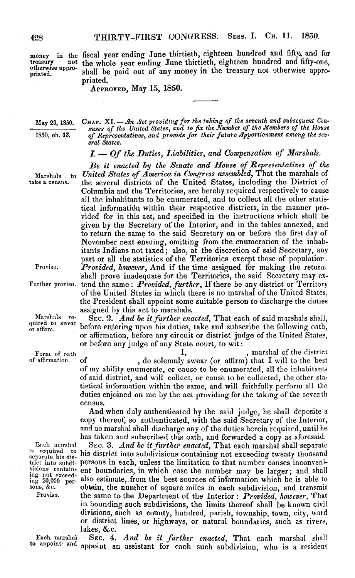treasury not otherwise appro- priated. otherwise appro-

money in the fiscal year ending June thirtieth, eighteen hundred and fifty) and for money in the fiscal year ending June thirtieth, eighteen hundred and fifty and for treasury not the whole year ending June thirtieth, eighteen hundred and hity-one, otherwise appro-<br>priated. Shall be paid out of any money in the treasury not otherwise appropriated. priated.

APPROVED, May **15,** 1850. PPROVED, May 15, 1850.

May 23, 1850. May 23, 1850.

1850, ch. 43. 1&50, ch. 43.

CHAP. XI. — An Act providing for the taking of the seventh and subsequent Censuses of the United States, and to fix the Number of the Members of the House<br>of Representatives, and provide for their future Apportionment amon *eral States.* eral States. nAr. X1.— An Act providing for the taking of the seventh and subsequent Cen-<br>suses of the United States, and to fix the Number of the Members of the House<br>of Representatives, and provide for their future Apportionment amon

*I. - Of the Duties, Liabilities, and Compensation of Marshals.* I. — Of the Duties, Liabilities, and Compensation of Marshals.

*Be it enacted by the Senate and House of Representatives of the* Be it enacted by the Senate and House of Representatives of the Marshals to *United States of America in Congress assembled,* That the marshals of United States of America in Congress assembled, That the marshals of ake a census. Ithe several districts of the United States, including the District of Columbia and the Territories, are hereby required respectively to cause Columbia and the Territories, are hereby required respectively to cause all the inhabitants to be enumerated, and to collect all the other statis-all the inhabitants to be enumerated, and to collect all the other statistical information within their respective districts, in the manner provided for in this act, and specified in the instructions which shall be vided for in this act, and specified in the instructions which shall be given by the Secretary of the Interior, and in the tables annexed, and given by the Secretary of the Interior, and in the tables annexed, and to return the same to the said Secretary on or before the first day of to return the same to the said Secretary on or before the first day of November next ensuing, omitting from the enumeration of the inhab-November next ensuing, omitting from the enumeration of the inhabitants Indians not taxed; also, at the discretion of said Secretary, any itants Indians not taxed; also, at the discretion of said Secretary, any<br>part or all the statistics of the Territories except those of population. Proviso. *Provided, however*, And if the time assigned for making the return part or all the statistics of the Territories except those of populatior

shall prove inadequate for the Territories, the said Secretary may ex-'urther proviso. tend the same: *Provided, further*, If there be any district or Territory of the United States in which there is no marshal of the United States, the President shall appoint some suitable person to discharge the duties the President shall appoint some suitable person to discharge the duties assigned by this act to marshals. assigned by this act to marshals.

Marshals re-<br>wired to swear before entering upon his duties, take and subscribe the following oath, raffirm. or affirmation, before any circuit or district judge of the United States, or affirmation, before any circuit or district judge of the United States, or before any judge of any State court, to wit: before entering upon his duties, take and subscribe the following oath,

Form of oath  $I,$  , marshal of the district of affirmation. of , do solemnly swear (or affirm) that I will to the best of my ability enumerate, or cause to be enumerated, all the inhabitants of my ability enumerate, or cause to be enumerated, all the inhabitants of said district, and will collect, or cause to be collected, the other sta-of said district, and will collect, or cause to be collected, the other statistical information within the same, and will faithfully perform all the tistical information within the same, and will faithfully perform all the duties enjoined on me by the act providing for the taking of the seventh duties enjoined on me by the act providing for the taking of the seventh census. census.

> And when duly authenticated by the said judge, he shall deposite a And when duly authenticated by the said judge, he shall deposite a copy thereof, so authenticated, with the said Secretary of the Interior, copy thereof, so authenticated, with the said Secretary of the Interior, and no marshal shall discharge any of the duties herein required, until he and no marshal shall discharge any of the duties herein required, until he

has taken and subscribed this oath, and forwarded a copy as aforesaid. has taken and subscribed this oath, and forwarded a copy as aforesaid. Each marshal SEC. 3. And be it further enacted, That each marshal shall separate <sup>18</sup> required to his district into subdivisions containing not exceeding twenty thousand trict into subdi- persons in each, unless the limitation to that number causes inconveni-persons in each, unless the limitation to that number causes inconvenivisions contain- ent boundaries, in which case the number may be larger; and shall ing not exceed- also estimate from the hait carrier of information of the interlated  $\frac{1}{200000}$  per- also estimate, from the best sources of information which he is able to  $sons, &c.$  obtain, the number of square miles in each subdivision, and transmit Proviso. the same to the Department of the Interior: Provided, however, That in bounding such subdivisions, the limits thereof shall be known civil in bounding such subdivisions, the limits thereof shall be known civil divisions, such as county, hundred, parish, township, town, city, ward divisions, such as county, hundred, parish, township, town, city, ward or district lines, or highways, or natural boundaries, such as rivers, or district lines, or highways, or natural boundaries, such as rivers, lakes, &c. lakes, &c.

Each marshal to appoint and

take a census. Marshals to

Proviso.

Further proviso.

q quired to swear **O!** or affirm. Marshals re-

Form of oath of affirmation.

Each marshal is required to separate his district into subdivisions containing not exceed-ing 20,000 persons, &c. Proviso.

Each marshal SEC. 4. And be it further enacted, That each marshal shall to appoint and appoint an assistant for each such subdivision, who is a resident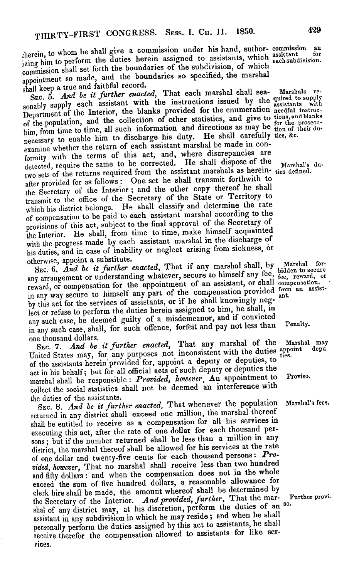therein, to whom he shall give a commission under his hand, author- commission and<br>the state of the diffuse herein assigned to assistants, which assistantially  $\frac{1}{12}$ ing him to perform the duties herein assigned to assistants, which each subdivision. commission shall set forth the boundaries of the subdivision, of which submission shall set forth the boundaries so specified, the marshal appointment so made, and the boundaries so specified, the marshall herein, to whom he shall give a commission under his hand, author- commission an shall keep a true and faithful record.

SEC. 5. And be it further enacted, That each marshal shall sea-SEC. 5. *And be it further enacted*, **That each marshal shall sea-** Marshals with supply supply each assistant with the instructions issued by the assistants with sea-<br>sonably supply each assistant with the provided for th Department of the Interior, the blanks provided for the enumeration needful instruc-<br>Department of the acceleration of other statistics, and give to tions, and blanks of the population, and the collection of other statistics, and give to tions, and plants him, from time to time, all such information and directions as may be  $t_{ion}$  of their du-<br>him, from time to time, to discharge his duty. He shall carefully ties &c. necessary to enable him to discharge his duty. He shall carefully ties, &c.<br>necessary to enable him of each assistant marshal be made in conexamine whether the return of each assistant marshal be made in con-<br>examine whether the return of this act, and, where discrepancies are formity with the terms of this act, and, where discrepancies are formity with the terms of this act, and, where discrepancies are detected, require the same to be corrected. He shall dispose of the  $Marshal's$  dutwo sets of the returns required from the assistant marshals as herein-<br>two sets of the returns required from the assistant marshals as herein-<br>ties definedafter provided for as follows: One set he shall transmit forthwith to the Secretary of the Interior; and the other copy thereof he shall transmit to the office of the Secretary of the State or Territory to transmit to the office of the Secretary of the State or Territory to which his district belongs. He shall classify and determine the rate of compensation to be paid to each assistant marshal according to the of compensation to be paid to each assistant marshal according to the provisions of this act, subject to the final approval of the Secretary of provisions of this act, subject to the final approval of the Secretary of the Interior. He shall, from time to time, make himself acquainted<br>the Interior. He shall, from time to time, marshal in the discharge of with the progress made by each assistant marshal in the discharge of with the progress made by each assistant marshal in the discharge of his duties, and in case of inability or neglect arising from sickness, or his duties, and in case of inability or neglect arising from sickness, or otherwise, appoint a substitute. otherwise, appoint a substitute.  $\sum_{\text{SBC}}$ , 5. And be it further enacted, That each marshal shall sea- Marshals re-Department of the Interior, the blanks provided for the enumeration needful instrueof the population, and the collection of other statistics, and give to tiong, and blanks

SEC. 6. *And be it further enacted*, That it any marshal shall, by malished to secure<br>any arrangement or understanding whatever, secure to himself any fee,  $_{\text{free}}$  reward, or reward, or compensation for the appointment of an assistant, or shall compensation, reward, or compensation for the appointment of an assistant, or shall compensation reward, or compensation for the appointment of an assistant, or shall compensation provided from an assist-<br>in any way secure to himself any part of the compensation provided from an assistby this act for the services of assistants, or if he shall knowingly neglect or refuse to perform the duties herein assigned to him, he shall, in lect or refuse to perform the duties herein assigned to him, he shall, in any such case, be deemed guilty of a misdemeanor, and if convicted in any such case, shall, for such offence, forfeit and pay not less than Penalty. one thousand dollars. one thousand dollars.  $\text{Rec. 6. And }$  be it further enacted, That if any marshal shall, by Marshal for-<br>SEC. 6, And be it further enacted, That if any marshal shall, by Marshal forin any way secure to himself any part of the compensation provided  $\mathbf{r}$  and

Sec. 7. *And be it further enacted*, That any marshal of the Marshal may<br>Sec. 7. And be it further enacted, That any marshal of the duties appoint depu United States may, for any purposes not inconsistent with the duties  $a$  appoint  $a$  appendix  $a$ . of the assistants herein provided for, appoint a deputy or deputies, to  $\frac{1}{\sqrt{2}}$ act in his behalf; but for all official acts of such deputy or deputies the marshal shall be responsible: *Provided, however*, An appointment to Proviso. collect the social statistics shall not be deemed an interference with collect the social statistics shall not be deemed an interference with the duties of the assistants. the duties of the assistants.

SEC. 8. *And be it further enacted*, That whenever the population Marshal's fees. returned in any district shall exceed one million, the marshal thereof shall be entitled to receive as a compensation for all his services in shall be entitled to receive as a compensation for all his services in executing this act, after the rate of one dollar for each thousand per-executing this act, after the rate of one dollar for each thousand persons; but if the number returned shall be less than a million in any district, the marshal thereof shall be allowed for his services at the rate district, the marshal thereof shall be allowed for his services at the rate of one dollar and twenty-five cents for each thousand persons: *Pro-*of one dollar and twenty-five cents for each thousand persons: Pro*vided, however*, That no marshal shall receive less than two hundred and fifty dollars: and when the compensation does not in the whole and fifty dollars: and when the compensation does not in the whole exceed the sum of five hundred dollars, a reasonable allowance for clerk hire shall be made, the amount whereof shall be determined by clerk hire shall be made, the amount whereof shall be determined by the Secretary of the Interior. *And provided, further*, That the mar- Further provishal of any district may, at his discretion, perform the duties of an <sup>so.</sup> assistant in any subdivision in which he may reside; and when he shall assistant in any subdivision in which he may reside; and when he shall personally perform the duties assigned by this act to assistants, he shall personally perform the duties assigned by this act to assistants, he shall receive therefor the compensation allowed to assistants for like ser-receive therefor the compensation allowed to assistants for like services. vices.

Proviso.

Marshal's fees.

Further provi-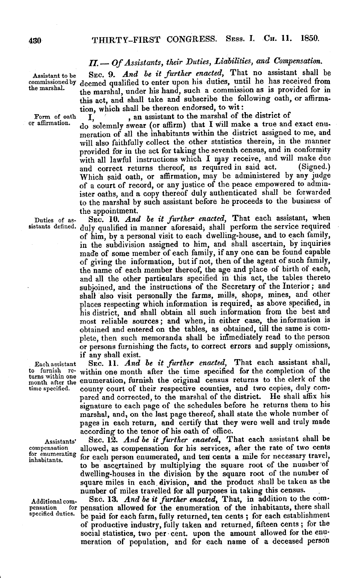*II. - Of Assistants, their Duties, Liabilities, and Compensation.* II.— Of Assistants, their Duties, Liabilities, and Compensation.

Assistant to be SEC. 9. And be it further enacted, That no assistant shall be commissioned by deemed qualified to enter upon his duties, until he has received from the marshal. the marshal, under his hand, such a commission as is provided for in the marshal, under his hand, such a commission as is provided for in this act, and shall take and subscribe the following oath, or affirma-this act, and shall take and subscribe the following oath, or affirmation, which shall be thereon endorsed, to wit: Assistant to be commissioned by

Form of oath  $\overline{I}$ ,  $\overline{I}$  , an assistant to the marshal of the district of

or affirmation. do solemnly swear (or affirm) that I will make a true and exact enumeration of all the inhabitants within the district assigned to me, and meration of all the inhabitants within the district assigned to me, and will also faithfully collect the other statistics therein, in the manner will also faithfully collect the other statistics therein, in the manner provided for in the act for taking the seventh census, and in conformity provided for in the act for taking the seventh census, and in conformity with all lawful instructions which I may receive, and will make due and correct returns thereof, as required in said act. (Signed.) and correct returns thereof, as required in said act. (Signed.) Which said oath, or affirmation, may be administered by any judge Which said oath, or affirmation, may be administered by any judge of a court of record, or any justice of the peace empowered to administer oaths, and a copy thereof duly authenticated shall be forwarded to the marshal by such assistant before he proceeds to the business of the appointment. the appointment.

Duties of as-<br>
EC. 10. And be it further enacted, That each assistant, when sistants defined. duly qualified in manner aforesaid, shall perform the service required of him, by a personal visit to each dwelling-house, and to each family, of him, by a personal visit to each dwelling-house, and to each family, in the subdivision assigned to him, and shall ascertain, by inquiries in the subdivision assigned to him, and shall ascertain, by inquiries made of some member of each family, if any one can be found capable made of some member of each family, if any one can be found capable of giving the information, but if not, then of the agent of such family, of giving the information, but if not, then of the agent of such family, the name of each member thereof, the age and place of birth of each, the name of each member thereof, the age and place of birth of each, and all the other particulars specified in this act, the tables thereto and all the other particulars specified in this act, the tables thereto subjoined, and the instructions of the Secretary of the Interior; and subjoined, and the instructions of the Secretary of the Interior; and shall also visit personally the farms, mills, shops, mines, and other shall also visit personally the farms, mills, shops, mines, and other places respecting which information is required, as above specified, in places respecting which information is required, as above specified, in his district, and shall obtain all such information from the best and his district, and shall obtain all such information from the best and most reliable sources; and when, in either case, the information is most reliable sources; and when, in either case, the information is obtained and entered on the tables, as obtained, till the same is complete, then such memoranda shall be infimediately read to the person or persons furnishing the facts, to correct errors and supply omissions, or persons furnishing the facts, to correct errors and supply omissions, if any shall exist. if any shall exist.

Each assistant SEC. 11. And be it further enacted, That each assistant shall, to furnish re- within one month after the time specified for the completion of the turns within one enumeration furnish the existing congus returns to the clerk of the turns within one enumeration, furnish the original census returns to the clerk of the time specified. county court of their respective counties, and two copies, duly compared and corrected, to the marshal of the district. He shall affix his pared and corrected, to the marshal of the district. He shall affix his signature to each page of the schedules before he returns them to his signature to each page of the schedules before he returns them to his marshal, and, on the last page thereof, shall state the whole number of marshal, and, on the last page thereof, shall state the whole number of pages in each return, and certify that they were well and truly made pages in each return, and certify that they were well and truly made according to the tenor of his oath of office. according to the tenor of his oath of office.

Assistants' SEC. 12. And be it further enacted, That each assistant shall be compensation allowed, as compensation for his services, after the rate of two cents allowed, as compensation for his services, after the rate of two cents for enumerating for each person enumerated, and ten cents a mile for necessary travel, to be ascertained by multiplying the square root of the number of dwelling-houses in the division by the square root of the number of dwelling-houses in the division by the square root of the number of square miles in each division, and the product shall be taken as the square miles in each division, and the product shall be taken as the number of miles travelled for all purposes in taking this census. number of miles travelled for all purposes in taking this census.

Additional com-<br>
SEC. 13. And be it further enacted, That, in addition to the compensation for pensation allowed for the enumeration of the inhabitants, there shall pensation allowed for the enumeration of the inhabitants, there shall specified duties. be paid for each farm, fully returned, ten cents; for each establishment of productive industry, fully taken and returned, fifteen cents; for the of productive industry, fully taken and returned, fifteen cents; for the social statistics, two per cent. upon the amount allowed for the enu-social statistics, two per cent. upon the amount allowed for the enumeration of population, and for each name of a deceased person meration of population, and for each name of a deceased person

Each assistant to furnish retime specified.

Assistants' compensation for enumerating inhabitants.

Additional compensation for specified duties.

the marshal.

Form of oath or affirmation.

Duties of assistants defined.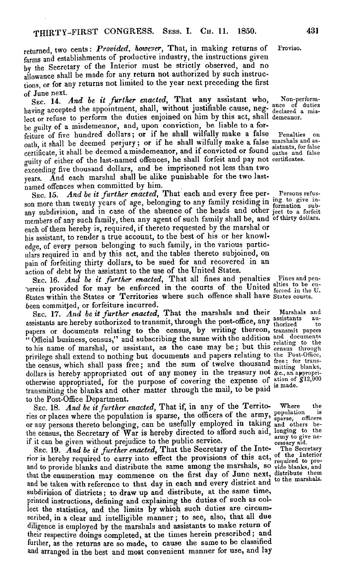returned, two cents: *Provided, however*, That, in making returns of Proviso. farms and establishments of productive industry, the instructions given farms and establishments of productive industry, the instructions given by the Secretary of the Interior must be strictly observed, and no by the Secretary of the Interior must he strictly observed, and no allowance shall be made for any return not authorized by such instruc-allowance shall be made for any return not authorized by such instructions, or for any returns not limited to the year next preceding the first tions, or for any returns not limited to the year next preceding the first of June next. of June next.

SEC. 14. *And be it further enacted,* That any assistant who, Non-performhaving accepted the appointment, shall, without justifiable cause, neg- declared a mishaving accepted the appointment, shall, without justifiable cause, neg- declared<br>lect or refuse to perform the duties enjoined on him by this act, shall demeanor be guilty of a misdemeanor, and, upon conviction, be liable to a for-be guilty of a misdemeanor, and, upon conviction, be liable to a forfeiture of five hundred dollars; or if he shall wilfully make a false Penalties on feiture of five hundred' dollars; or if he shall wilfully make a false oath, it shall be deemed perjury; or if he shall wilfully make a false marshals and ascertificate, it shall be deemed a misdemeanor, and if convicted or found sistants, for false guilty of either of the last-named offences, he shall forfeit and pay not certificates. guilty of either of the last-named offences, he shall forfeit and pay not certificates. exceeding five thousand dollars, and be imprisoned not less than two exceeding five thousand dollars, and be imprisoned not less than two years. And each marshal shall be alike punishable for the two last-years. And each marshal shall be alike punishable for the two lastnamed offences when committed by him. named offences when committed by him. SEC. 14. And be it further enacted, That any assistant who, lect or refuse to perform the duties enjoined on him by this act, shall

Sec. 15. *And be it further enacted*, That each and every free per- Persons refusson more than twenty years of age, belonging to any family residing in  $\frac{mg}{formation}$  subson more than twenty years of age, belonging to any rainity residing in formation sub<br>any subdivision, and in case of the absence of the heads and other ject to a forfeit members of any such family, then any agent of such family shall be, and of thirty dollars. members of any such family, then any agent of such family shall be, and of thirty dollars. each of them hereby is, required, if thereto requested by the marshal or each of them hereby is, required, if thereto requested by the marshal or his assistant, to render a true account, to the best of his or her knowl-his assistant, to render a true account, to the best of his or her knowledge, of every person belonging to such family, in the various partic-edge, of every person belonging to such family, in the various particulars required in and by this act, and the tables thereto subjoined, on ulars required in and by this act, and the tables thereto subjoined, on pain of forfeiting thirty dollars, to be sued for and recovered in an pain of forfeiting thirty dollars, to be sued for and recovered in an action of debt by the assistant to the use of the United States. action of debt by the assistant to the use of the United States.

SEC. 16. *And be it further enacted*, That all fines and penalties Fines and penherein provided for may be enforced in the courts of the United alties to be en States within the States or Territories where such offence shall have States courts. been committed, or forfeiture incurred. been committed, or forfeiture incurred.

SEC. 17. *And be it further enacted*, That the marshals and their Marshals and assistants are hereby authorized to transmit, through the post-office, any assistants aupapers or documents relating to the census, by writing thereon, transmit papers "Official business, census," and subscribing the same with the addition and documents " Official business, census," and subscribing the same with the addition and documents to his name of marshal, or assistant, as the case may be; but this census through privilege shall extend to nothing but documents and papers relating to the Post-Office, the census, which shall pass free; and the sum of twelve thousand  $f_{\text{mitting}}^{\text{free}}$  for transthe census, which shall pass free; and the sum of twelve thousand mitting blanks<br>dollars is hereby appropriated out of any money in the treasury not &c., an appropri otherwise appropriated, for the purpose of covering the expense of  $\frac{\text{ation of } g_{12,000}}{\text{is made}}$ transmitting the blanks and other matter through the mail, to be paid is made transmitting the blanks and other matter through the mail, to be paid is made. to the Post-Office Department. to the Post-Office Department. privilege shall extend to nothing but documents and papers relating to  $\frac{1}{2}$ dollars is hereby appropriated out of any money in the treasury not

SEC. 18. *And be it further enacted*, That if, in any of the Territo-Where the ries or places where the population is sparse, the officers of the army, population is or any persons thereto belonging, can be usefully employed in taking and others beor any persons thereto belonging, can be usefully employed in taking and others be-<br>the census, the Secretary of War is hereby directed to afford such aid, longing to the if it can be given without prejudice to the public service. cessary aid. the census, the Secretary of War is hereby directed to another such aid,  $\frac{1}{2}$ 

SEC. 19. And be it further enacted, That the Secretary of the Inte- The Secretary rior is hereby required to carry into effect the provisions of this act,  $_{\rm required\ to\ pro}^{\rm I}$ and to provide blanks and distribute the same among the marshals, so vide blanks, and that the enumeration may commence on the first day of June next, distribute them and be taken with reference to that day in each and every district and <sup>to the marshals.</sup> subdivision of districts; to draw up and distribute, at the same time, subdivision of districts; to draw up and distribute, at the same time, printed instructions, defining and explaining the duties of such as col-printed instructions, defining and explaining the duties of such as collect the statistics, and the limits by which such duties are circum-lect the statistics, and the limits by which such duties are circumscribed, in a clear and intelligible manner; to see, also, that all due scribed, in a clear and intelligible manner; to see, also, that all due diligence is employed by the marshals and assistants to make return of diligence is employed by the marshals and assistants to make return of their respective doings completed, at the times herein prescribed; and their respective doings completed, at the times herein prescribed; and further, as the returns are so made, to cause the same to be classified further, as the returns are so made, to cause the same to be classified and arranged in the best and most convenient manner for use, and lay and arranged in the best and most convenient manner for use, and lay

Proviso.

Non-performance or duties<br>declared a mis-<br>demeanor.

Penalties on

Persons refusing to give in-formation sub-ect to a forfeit

Marshals and relating to the<br>census through<br>the Post-Office, free; for trans-mitting blanks, &c., an appropri-

army to give ne-Where the sparse, omcers<br>and others be-<br>longing to the<br>army to give necessary aid.

The Secretary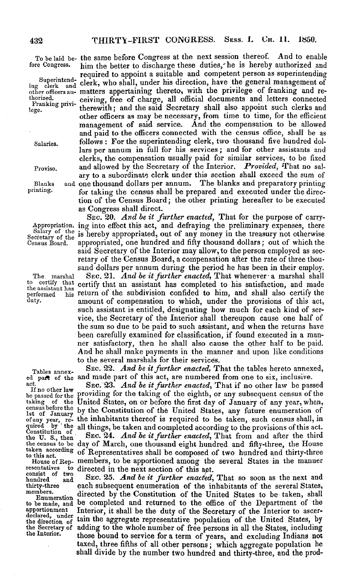Superintend-Franking privi-

salary of the<br>cretary of the

the assistant has

Constitution of the U.S., then

consist of two<br>hundred and

To be laid be- the same before Congress at the next session thereof. And to enable To be laid be- the same before Congress at the next session thereof. And to enable fore Congress. him the better to discharge these duties, he is hereby authorized and

required to appoint a suitable and competent person as superintending required to appoint a suitable and competent person as superintending  $\frac{1}{\log^2 \text{eleck}}$  and clerk, who shall, under his direction, have the general management of other officers au- matters appertaining thereto, with the privilege of franking and re-other officers au- matters appertaining thereto, with the privilege of franking and rethorized. ceiving, free of charge, all official documents and letters connected thorized. ceiving, free of charge, all official documents and letters connected  $l_{\text{ege.}}$  therewith; and the said Secretary shall also appoint such clerks and other officers as may be necessary, from time to time, for the efficient management of said service. And the compensation to be allowed management of said service. And the compensation to be allowed and paid to the officers connected with the census office, shall be as and paid to the officers connected with the census office, shall be as Salaries. follows: For the superintending clerk, two thousand five hundred dol-Salaries. follows: For the superintending clerk, two thousand five hundred dollars per annum in full for his services; and for other assistants and lars per annum in full for his services; and for other assistants and clerks, the compensation usually paid for similar services, to be fixed clerks, the compensation usually paid for similar services, to be fixed Proviso. and allowed by the Secretary of the Interior. Provided, That no salary to a subordinate clerk under this section shall exceed the sum of ary to a subordinate clerk under this section shall exceed the sum of Blanks and one thousand dollars per annum. The blanks and preparatory printing Blanks and one thousand dollars per annum. The blanks and preparatory printing printing. for taking the census shall be prepared and executed under the direction of the Census Board; the other printing hereafter to be executed tion of the Census Board; the other printing hereafter to be executed as Congress shall direct. as Congress shall direct.

SEC. 20. And be it further enacted, That for the purpose of carry-Appropriation. ing into effect this act, and defraying the preliminary expenses, there Appropriation. ing into effect this act, and defraying the preliminary expenses, there Salary of the is hereby appropriated, out of any money in the treasury not otherwise Census Board. appropriated, one hundred and fifty thousand dollars; out of which the Census Board, appropriated, one hundred and fifty thousand dollars; out of which the said Secretary of the Interior may allow, to the person employed as secretary of the Census Board, a compensation after the rate of three thousand dollars per annum during the period he has been in their employ. sand dollars per annum during the period he has been in their employ.

The marshal SEC. 21. And be it further enacted, That whenever a marshal shall to certify that certify that an assistant has completed to his satisfaction, and made performed his return of the subdivision confided to him, and shall also certify the performed his return of the subdivision confided to him, and shall also certify the duty. **amount of compensation to which, under the provisions of this act,** such assistant is entitled, designating how much for each kind of service, the Secretary of the Interior shall thereupon cause one half of vice, the Secretary of the Interior shall thereupon cause one half of the sum so due to be paid to such assistant, and when the returns have the sum so due to be paid to such assistant, and when the returns have been carefully examined for classification, if found executed in a man-been carefully examined for classification, if found executed in a manner satisfactory, then he shall also cause the other half to be paid. ner satisfactory, then he shall also cause the other half to be paid. And he shall make payments in the manner and upon like conditions And he shall make payments in the manner and upon like conditions to the several marshals for their services.

Tables annex-<br>
Tables annexSEC. 22. And be it further enacted, That the tables hereto annexed, ed part of the and made part of this act, are numbered from one to six, inclusive.<br>act. SEC 93. And he it further engeted. That if no other law he passe

act. SEC. 23. *And be it further enacted*, That if no other law be passed<br>If no other law providing for the taking of the eighth or any subsequent eeosus of the If no other law providing for the taking of the eighth, or any subsequent census of the taking of the United States, on or before the first day of January of any year, when, taking of the United States, on or before the first day of January of any year, when, nsus before the by the Constitution of the United States, any future enumeration of the United States, any future of any year, re- the inhabitants thereof is required to be taken, such census shall, in quired by the all things, be taken and completed according to the provisions of this act.<br>Constitution of Sug 24 And he it funther meeted. That from and after the third census before the by the Constitution of the United States, any future enumeration of  $\alpha$  any year, re- the inhabitants thereof is required to be taken, such census shall, in quired by ' the all things, be taken and completed according to the provisions of this act.

 $\begin{array}{l}\n\text{Constant on} \\
\text{the } U. \text{ S., then}\n\end{array}$  SEC. 24. And be it further enacted, That from and after the third the census to be day of March, one thousand eight hundred and fifty-three, the House the census to be day of March, one thousand eight hundred and fifty-three, the House taken according of Representatives shall be composed of two hundred and thirty-three to this act. House of Rep- members, to be apportioned among the several States in the manner resentatives to directed in the next section of this act. resentatives to directed in the next section of this apt.

consist of two hundred and SEC. 25. *And be it further enacted,* That so soon as the next and hundred and EC. 25. And be it further enacted, That so soon as the next and thirty-three each subsequent enumeration of the inhabitants of the several States, members.  $E_{\text{numeration}}$  directed by the Constitution of the United States to be taken, shall to be made, and be completed and returned to the office of the Department of the to be made, and be completed and returned to the office of the Department of the apportionment Interior, it shall be the duty of the Secretary of the Interior to ascer-apportionment Interior, it shall be the duty of the Secretary of the Interior to ascer declared, under tain the aggregate representative population of the United States, by the Secretary of adding to the whole number of free persons in all the States, including<br>the Interior. those bound to service for a term of years, and excluding Indians not taxed, three fifths of all other persons; which aggregate population he taxed, three fifths of all other persons; which aggregate population he shall divide by the number two hundred and thirty-three, and the prod-shall divide by the number two hundred and thirty-three, and the prodthe Interior, those bound to service for a term of years, and excluding Indians not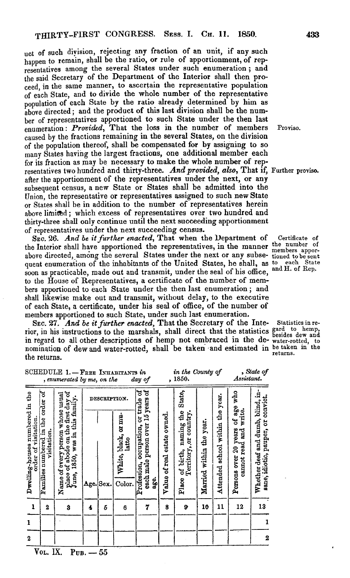uct of such division, rejecting any fraction of an unit, if any such uct of such division, rejecting any fraction of an unit, if any such happen to remain, shall be the ratio, or rule of apportionment, of rep-happen to remain, shall be the ratio, or rule of apportionment, of representatives among the several States under such enumeration; and resentatives among the several States under such enumeration; and the said Secretary of the Department of the Interior shall then pro-the said Secretary of the Department of the Interior shall then proceed, in the same manner, to ascertain the representative population ceed, in the same manner, to ascertain the representative population of each State, and to divide the whole number of the representative of each State, and to divide the whole number of the representative population of each State by the ratio already determined by him as population of each State by the ratio already determined by him as above directed; and the product of this last division shall be the num-above directed; and the product of this last division shall be the number of representatives apportioned to such State under the then last ber of representatives apportioned to such State under the then last enumeration: *Provided*, That the loss in the number of members Proviso caused by the fractions remaining in the several States, on the division caused by the fractions remaining in the several States, on the division of the population thereof, shall be compensated for by assigning to so of the population thereof, shall be compensated for by assigning to so many States having the largest fractions, one additional member each many States having the largest fractions, one additional member each for its fraction as may be necessary to make the whole number of representatives two hundred and thirty-three. *And provided, also,* That if, Further proviso. resentatives two hundred and thirty-three. And provided, also, That if, Further proviso. after the apportionment of the representatives under the next, or any after the apportionment of the representatives under the next, or any subsequent census, a new State or States shall be admitted into the subsequent census, a new State or States shall be admitted into the Union, the representative or representatives assigned to such new State Union, the representative or representatives assigned to such new State or States shall be in addition to the number of representatives herein or States shall be in addition to the number of representatives herein above limited; which excess of representatives over two hundred and thirty-three shall only continue until the next succeeding apportionment thirty-three shall only continue until the next succeeding apportionment of representatives under the next succeeding census. of representatives under the next succeeding census.

SEC. 26. And be it further enacted, That when the Department of Certificate of the Interior shall have apportioned the representatives, in the manner <sup>the number</sup> of above directed, among the several States under the next or any subse-tioned to be sent quent enumeration of the inhabitants of the United States, he shall, as to each State soon as practicable, made out and transmit, under the seal of his office, and H. of Rep. to the House of Representatives, a certificate of the number of members apportioned to each State under the then last enumeration; and bers apportioned to each State under the then last enumeration; and shall likewise make out and transmit, without delay, to the executive shall likewise make out and transmit, without delay, to the executive of each State, a certificate, under his seal of office, of the number of of each State, a certificate, under his seal of office, of the number of members apportioned to such State, under such last enumeration. members apportioned to such State, under such last enumeration.

SEC. 27. And be it further enacted, That the Secretary of the Inte-Statistics in rerior, in his instructions to the marshals, shall direct that the statistics  $g^{\text{ard}}$  to hemp, in regard to all other descriptions of hemp not embraced in the de- water-rotted, to in regard to all other descriptions of hemp not embraced in the de-water-rotted, to nomination of dew and water-rotted, shall be taken and estimated in be taken in the the returns.

in the County of State of

 $S$ CHP $\text{Diff}$  P.1.  $\mathbf{F}_{\text{max}}$  Interactional in

| æ                                                                                                              | تمنيمنه            |                                                                              |                                                                                                  | ,,, ,,,,                         |                                                                            |                                | Assistant.                                                            |                                                                         |
|----------------------------------------------------------------------------------------------------------------|--------------------|------------------------------------------------------------------------------|--------------------------------------------------------------------------------------------------|----------------------------------|----------------------------------------------------------------------------|--------------------------------|-----------------------------------------------------------------------|-------------------------------------------------------------------------|
|                                                                                                                |                    | ಕ                                                                            |                                                                                                  |                                  |                                                                            |                                |                                                                       |                                                                         |
|                                                                                                                |                    |                                                                              |                                                                                                  |                                  |                                                                            |                                |                                                                       |                                                                         |
|                                                                                                                |                    |                                                                              |                                                                                                  |                                  |                                                                            |                                |                                                                       |                                                                         |
|                                                                                                                | Color.             | age.                                                                         |                                                                                                  |                                  |                                                                            |                                |                                                                       | Whether deaf and dumb, blind, in-<br>sane, idiotic, pauper, or convict. |
|                                                                                                                |                    |                                                                              |                                                                                                  |                                  |                                                                            |                                |                                                                       |                                                                         |
| 4                                                                                                              | 6                  |                                                                              |                                                                                                  |                                  |                                                                            |                                |                                                                       | 13                                                                      |
|                                                                                                                |                    |                                                                              |                                                                                                  |                                  |                                                                            |                                |                                                                       |                                                                         |
|                                                                                                                |                    |                                                                              |                                                                                                  |                                  |                                                                            |                                |                                                                       | $\mathbf 2$                                                             |
| Name of every person whose usual<br>place of abode on the first day of<br>June, 1850, was in this family.<br>3 | Sex.<br>Age. <br>Б | , enumerated by me, on the<br>DESCRIPTION.<br>White, black, or mu-<br>latto. | 10<br>day of<br>each male person over 15 years of<br>trade<br>occupation, or<br>Profession,<br>7 | Value of real estate owned.<br>8 | , 1850.<br>Place of birth, naming the State,<br>Territory, or country<br>9 | Married within the year.<br>16 | $\sim$ $\sim$ $\sim$ $\sim$<br>Attended school within the year.<br>11 | of age who<br>write.<br>Persons over 20 years<br>cannot read and<br>12  |

Proviso.

Certificate of each State

returns.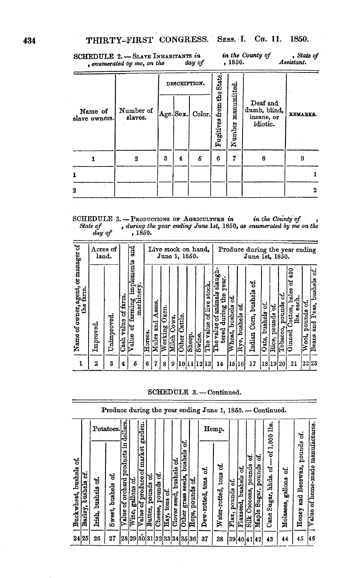SCHEDULE 2. - SLAVE INHABITANTS in , enumerated by me, on the

 $\emph{day of}$ , 1850.

in the County of State of<br>Assistant.

|                          |                      |   | DESCRIPTION. |                 |                          |                      |                                                    |                 |
|--------------------------|----------------------|---|--------------|-----------------|--------------------------|----------------------|----------------------------------------------------|-----------------|
| Name of<br>slave owners. | Number of<br>slaves. |   |              | Age.Sex. Color. | Fugitives from the State | manumitted<br>Number | Deaf and<br>dumb, blind,<br>insane, or<br>idiotic. | <b>REMARKS.</b> |
|                          | 2                    | 3 | 4            | б               | 6                        | 7                    | 8                                                  | 9               |
| 1                        |                      |   |              |                 |                          |                      |                                                    |                 |
| 2                        |                      |   |              |                 |                          |                      |                                                    | 2               |

SCHEDULE 3. -- PRODUCTIONS OF AGRICULTURE in in the County of , State of , during the year ending June 1st, 1850, as enumerated by me on the day of , 1850.

|                                                  | and<br>Acres of<br>land. |             |                          |                                          |         | Live stock on hand,<br>June 1, 1850. |                  |                |                         |             |        | Produce during the year ending<br>June 1st, 1850. |                                                                  |                          |                       |                                |                      |                      |                          |                                                                   |                        |                                    |
|--------------------------------------------------|--------------------------|-------------|--------------------------|------------------------------------------|---------|--------------------------------------|------------------|----------------|-------------------------|-------------|--------|---------------------------------------------------|------------------------------------------------------------------|--------------------------|-----------------------|--------------------------------|----------------------|----------------------|--------------------------|-------------------------------------------------------------------|------------------------|------------------------------------|
| Name of owner, agent, or manager of<br>the farm. | Improved                 | Unimproved. | of farm<br>value<br>Cash | implements<br>farming impl<br>ક<br>Value | Horses. | Asses.<br>and<br>Mules               | 0xen.<br>Working | Cows.<br>Milch | Cattle.<br><b>Other</b> | Sheep.      | Swine. | stock.<br>of live<br>value<br>.<br>Ele            | animals slaugh<br>year<br>die<br>during<br>The value of<br>tered | ۱ś.<br>bushels<br>Wheat, | ð.<br>bushels<br>Rye, | ಳ<br>bushels<br>O(m)<br>Indian | bushels of.<br>Oats, | S<br>pounds<br>Rice, | 'ಕ<br>pounds<br>Tobacco, | $\frac{6}{3}$<br>ጜ<br>bales<br>each.<br>Cotton,<br>lbs.<br>Ginned | નું<br>pounds<br>Wool, | ಕ<br>bushels<br>and Peas,<br>Beans |
| $\mathbf{1}$                                     | $\boldsymbol{2}$         | 3           | 4                        | Б                                        | 6       | 7                                    | 8                | 9              |                         | 10 11 12 13 |        |                                                   | 14                                                               | 15 <sup>1</sup>          | 16                    | 17                             | 18 19 20             |                      |                          | 21                                                                | 2223                   |                                    |

## SCHEDULE 3.-Continued.

|                        |                           |                      |                        |                                          |                       |                                  |                         |                        |                    |                           |                                          |                            |                          | Produce during the year ending June 1, 1850. - Continued. |                      |                           |                                        |                                 |                                      |                           |                                    |                                       |
|------------------------|---------------------------|----------------------|------------------------|------------------------------------------|-----------------------|----------------------------------|-------------------------|------------------------|--------------------|---------------------------|------------------------------------------|----------------------------|--------------------------|-----------------------------------------------------------|----------------------|---------------------------|----------------------------------------|---------------------------------|--------------------------------------|---------------------------|------------------------------------|---------------------------------------|
|                        |                           |                      | Potatoes.              | dollars.                                 |                       | garden.                          |                         |                        |                    |                           |                                          |                            |                          | Hemp.                                                     |                      |                           |                                        |                                 | eđ,                                  |                           | જં                                 |                                       |
| Buckwheat, bushels of. | ម្ល<br>bushels<br>Barley, | કુ<br>Irish, bushels | ಕ<br>bushels<br>Sweet, | !ទ<br>products<br>orchard<br>'ಕ<br>Value | ಳ<br>gallons<br>Wine, | market<br>of produce of<br>Value | e.<br>pounds<br>Butter, | ಕ<br>pounds<br>Cheese, | જં<br>tons<br>Hay, | ಳ<br>Clover seed, bushels | ಕ<br>bushels<br>seeds,<br>grass<br>Other | કું<br>pounds<br>Hops,     | ಕ<br>tons<br>Dew-rotted, | ಕ<br>tons<br>Water-rotted,                                | g<br>pounds<br>Flax, | ಕ<br>bushels<br>Flaxseed, | ಳ<br>pounds<br>Cocoons,<br><b>Silk</b> | ۱ť<br>pounds<br>Sugar,<br>Maple | 1,000<br>ಕ<br>ह<br>Cane Sugar, hhds. | ಕ<br>gallons<br>Molasses, | pounds<br>Beeswax,<br>and<br>Honey | manufactures<br>of home-made<br>Value |
|                        | 24 25                     | 26                   | 27                     |                                          |                       |                                  |                         |                        |                    |                           |                                          | 28 29 30 31 32 33 34 35 36 | 37                       | 38                                                        | 39404142             |                           |                                        |                                 | 43                                   | 44                        | 45                                 | 146                                   |
|                        |                           |                      |                        |                                          |                       |                                  |                         |                        |                    |                           |                                          |                            |                          |                                                           |                      |                           |                                        |                                 |                                      |                           |                                    |                                       |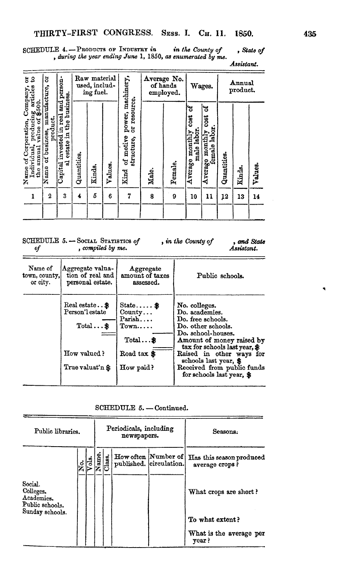SCHEDULE 4. - PRODUCTS OF INDUSTRY in in the County of , State of , during the year ending June 1, 1850, as enumerated by me. Assistant.

| 53<br>Company,                                                                                                                            | 5                                                                       | Raw material<br>person-<br>used, includ-<br>ing fuel.                                        |                  |             |              |                                                                            | Average No.<br>of hands<br>employed. |              | Wages.                                                     | Annual<br>product.                                                 |                   |              |               |
|-------------------------------------------------------------------------------------------------------------------------------------------|-------------------------------------------------------------------------|----------------------------------------------------------------------------------------------|------------------|-------------|--------------|----------------------------------------------------------------------------|--------------------------------------|--------------|------------------------------------------------------------|--------------------------------------------------------------------|-------------------|--------------|---------------|
| Name of Corporation, Comparation, Comparation, Comparation, producing art<br>Individual, producing art<br>the annual value of \$500.<br>1 | manufacture,<br>of business, ma<br>product.<br>Name<br>$\boldsymbol{2}$ | business.<br>and.<br>invested in real<br>$\mathfrak{e}$<br>Ŗ.<br>estate<br>ಢ<br>Capital<br>3 | Quantities.<br>4 | Kinds,<br>5 | Values.<br>6 | power, machinery,<br>resource<br>ă<br>of motive<br>structure,<br>Kind<br>7 | Male.<br>8                           | Female.<br>9 | ಽ<br><b>COST</b><br>male labor<br>monthly<br>Average<br>10 | ಇ<br><b>COSt</b><br>labor.<br>Averago monthly<br>female labo<br>11 | Quantities.<br>12 | Kinds.<br>13 | Values.<br>14 |
|                                                                                                                                           |                                                                         |                                                                                              |                  |             |              |                                                                            |                                      |              |                                                            |                                                                    |                   |              |               |

 $\begin{minipage}{.4\linewidth} \texttt{SCHEDULE} \ 5. \texttt{--Social} \ \texttt{Sratrsics} \ of \\ \hspace{5.5cm} \textit{of} \qquad \textit{, compiled by me.} \end{minipage}$ , in the County of , and State Assistant.

| Name of        | Aggregate valua-                                                                   | Aggregate                                                                                                   | Public schools.                                                                                                                                                                                                                                                                |
|----------------|------------------------------------------------------------------------------------|-------------------------------------------------------------------------------------------------------------|--------------------------------------------------------------------------------------------------------------------------------------------------------------------------------------------------------------------------------------------------------------------------------|
| town, county,! | tion of real and                                                                   | amount of taxes                                                                                             |                                                                                                                                                                                                                                                                                |
| or city.       | personal estate.                                                                   | assessed.                                                                                                   |                                                                                                                                                                                                                                                                                |
|                | Real estate \$<br>Person'l estate<br>$Total$ \$<br>How valued?<br>True valuat'n \$ | State $\ddot{\textbf{x}}$<br>Countv<br>Parish<br>T <sub>own</sub><br>$Total$ \$<br>Road tax \$<br>How paid? | No. colleges.<br>Do. academies.<br>Do. free schools.<br>Do. other schools.<br>Do. school-houses.<br>Amount of money raised by<br>tax for schools last year, \$<br>Raised in other ways for<br>schools last year, \$<br>Received from public funds<br>for schools last year. \$ |

SCHEDULE 5. - Continued.

| Public libraries.                                                        |   |    |      |        | Periodicals, including<br>newspapers. |                                                | Seasons.                                                                               |
|--------------------------------------------------------------------------|---|----|------|--------|---------------------------------------|------------------------------------------------|----------------------------------------------------------------------------------------|
| Social.<br>Colleges.<br>Academies.<br>Public schools.<br>Sunday schools. | ż | ಕೆ | Name | Class. |                                       | How often Number of<br>published. eirculation. | Has this season produced<br>average crops?<br>What crops are short?<br>To what extent? |
|                                                                          |   |    |      |        |                                       |                                                | What is the average per<br>year?                                                       |